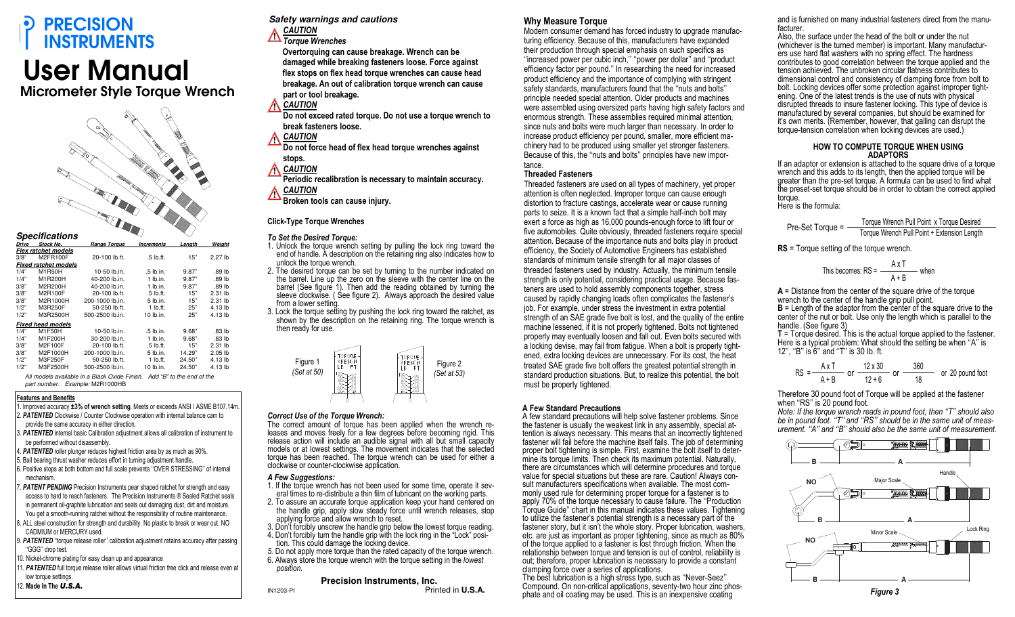# **PRECISION INSTRUMENTS**

# User Manual

Micrometer Style Torque Wrench



|       | <b>Specifications</b>       |                     |                   |        |                    |
|-------|-----------------------------|---------------------|-------------------|--------|--------------------|
| Drive | <b>Stock No.</b>            | <b>Range Torgue</b> | <b>Increments</b> | Lenath | Weiaht             |
|       | Flex ratchet models         |                     |                   |        |                    |
| 3/8"  | M2FR100F                    | 20-100 lb.ft.       | .5 lb.ft.         | 15"    | 2.27 <sub>th</sub> |
|       | <b>Fixed ratchet models</b> |                     |                   |        |                    |
| 1/4"  | M1R50H                      | 10-50 lb.in.        | .5 lb.in.         | 9.87"  | .89 lb             |
| 1/4"  | M1R200H                     | 40-200 lb.in.       | $1$ lb.in.        | 9.87"  | .89 lb             |
| 3/8"  | M2R200H                     | 40-200 lb.in.       | $1$ lb.in.        | 9.87"  | .89 <sub>th</sub>  |
| 3/8"  | M2R100F                     | 20-100 lb.ft.       | .5 lb.ft.         | 15"    | $2.31$ lb          |
| 3/8"  | M2R1000H                    | 200-1000 lb.in.     | $5$ lb.in.        | 15"    | $2.31$ lb          |
| 1/2"  | M3R250F                     | 50-250 lb.ft.       | $1$ lb.ft.        | 25"    | 4.13 lb            |
| 1/2"  | M3R2500H                    | 500-2500 lb.in.     | 10 lb.in.         | 25"    | 4.13 lb            |
|       | <b>Fixed head models</b>    |                     |                   |        |                    |
| 1/4"  | M1F50H                      | 10-50 lb.in.        | .5 lb.in.         | 9.68"  | .83 lb             |
| 1/4"  | M1F200H                     | 30-200 lb.in.       | $1$ lb.in.        | 9.68"  | .83 lb             |
| 3/8"  | M2F100F                     | 20-100 lb.ft.       | $.5$ lb.ft.       | 15"    | $2.31$ lb          |
| 3/8"  | M2F1000H                    | 200-1000 lb.in.     | $5$ lb.in.        | 14.29" | $2.05$ lb          |
| 1/2"  | M3F250F                     | 50-250 lb.ft.       | $1$ lb.ft.        | 24.50" | 4.13 lb            |
| 1/2"  | M3F2500H                    | 500-2500 lb.in.     | 10 lb.in.         | 24.50" | 4.13 lb            |
| .     | .                           | _ _ _               |                   |        |                    |

All models available in a Black Oxide Finish. Add "B" to the end of the part number. Example: M2R1000HB

#### Features and Benefits

- 1. Improved accuracy ±3% of wrench setting. Meets or exceeds ANSI / ASME B107.14m.
- **PATENTED** Clockwise / Counter Clockwise operation with internal balance cam to provide the same accuracy in either direction.
- 3. PATENTED internal basic Calibration adjustment allows all calibration of instrument to be performed without disassembly.
- 4. PATENTED roller plunger reduces highest friction area by as much as 90%.
- . Ball bearing thrust washer reduces effort in turning adjustment handle.

 6. Positive stops at both bottom and full scale prevents ''OVER STRESSING'' of internal mechanism.

- 7. PATENT PENDING Precision Instruments pear shaped ratchet for strength and easy access to hard to reach fasteners. The Precision Instruments ® Sealed Ratchet seals in permanent oil-graphite lubrication and seals out damaging dust, dirt and moisture. You get a smooth-running ratchet without the responsibility of routine maintenance.
- 8. ALL steel construction for strength and durability. No plastic to break or wear out. NO CADMIUM or MERCURY used.
- 9. PATENTED "torque release roller" calibration adjustment retains accuracy after passing ''GGG'' drop test.
- 10. Nickel-chrome plating for easy clean up and appearance
- 11. PATENTED full torque release roller allows virtual friction free click and release even at low torque settings.
- 12. Made In The U.S.A.

**Safety warnings and cautions** 

**CAUTION** 

 Torque Wrenches Overtorquing can cause breakage. Wrench can be damaged while breaking fasteners loose. Force against flex stops on flex head torque wrenches can cause head breakage. An out of calibration torque wrench can cause part or tool breakage.

- **CAUTION**
- Do not exceed rated torque. Do not use a torque wrench to break fasteners loose.
- **CAUTION**

 Do not force head of flex head torque wrenches against stops.

**CAUTION** 

 Periodic recalibration is necessary to maintain accuracy. **CAUTION** 

Broken tools can cause injury.

#### Click-Type Torque Wrenches

#### To Set the Desired Torque:

- 1. Unlock the torque wrench setting by pulling the lock ring toward the end of handle. A description on the retaining ring also indicates how to unlock the torque wrench.
- 2. The desired torque can be set by turning to the number indicated on the barrel. Line up the zero on the sleeve with the center line on the barrel (See figure 1). Then add the reading obtained by turning the sleeve clockwise. ( See figure 2). Always approach the desired value from a lower setting.
- 3. Lock the torque setting by pushing the lock ring toward the ratchet, as shown by the description on the retaining ring. The torque wrench is then ready for use.



#### Correct Use of the Torque Wrench:

 The correct amount of torque has been applied when the wrench releases and moves freely for a few degrees before becoming rigid. This release action will include an audible signal with all but small capacity models or at lowest settings. The movement indicates that the selected torque has been reached. The torque wrench can be used for either a clockwise or counter-clockwise application.

#### A Few Suggestions:

- 1. If the torque wrench has not been used for some time, operate it several times to re-distribute a thin film of lubricant on the working parts.
- 2. To assure an accurate torque application keep your hand centered on the handle grip, apply slow steady force until wrench releases, stop applying force and allow wrench to reset.
- 3. Don't forcibly unscrew the handle grip below the lowest torque reading. 4. Don't forcibly turn the handle grip with the lock ring in the "Lock" posi-
- tion. This could damage the locking device. 5. Do not apply more torque than the rated capacity of the torque wrench.
- 6. Always store the torque wrench with the torque setting in the lowest position.

## **Precision Instruments, Inc.**

IN1203-PI Printed in **U.S.A.**

### Why Measure Torque

 Modern consumer demand has forced industry to upgrade manufacturing efficiency. Because of this, manufacturers have expanded their production through special emphasis on such specifics as ''increased power per cubic inch,'' ''power per dollar'' and ''product efficiency factor per pound.'' In researching the need for increased product efficiency and the importance of complying with stringent safety standards, manufacturers found that the ''nuts and bolts'' principle needed special attention. Older products and machines were assembled using oversized parts having high safety factors and enormous strength. These assemblies required minimal attention, since nuts and bolts were much larger than necessary. In order to increase product efficiency per pound, smaller, more efficient machinery had to be produced using smaller yet stronger fasteners. Because of this, the ''nuts and bolts'' principles have new importance.

#### Threaded Fasteners

 Threaded fasteners are used on all types of machinery, yet proper attention is often neglected. Improper torque can cause enough distortion to fracture castings, accelerate wear or cause running parts to seize. It is a known fact that a simple half-inch bolt may exert a force as high as 16,000 pounds-enough force to lift four or five automobiles. Quite obviously, threaded fasteners require special attention. Because of the importance nuts and bolts play in product efficiency, the Society of Automotive Engineers has established standards of minimum tensile strength for all major classes of threaded fasteners used by industry. Actually, the minimum tensile strength is only potential, considering practical usage. Because fasteners are used to hold assembly components together, stress caused by rapidly changing loads often complicates the fastener's job. For example, under stress the investment in extra potential strength of an SAE grade five bolt is lost, and the quality of the entire machine lessened, if it is not properly tightened. Bolts not tightened properly may eventually loosen and fall out. Even bolts secured with a locking devise, may fail from fatigue. When a bolt is properly tightened, extra locking devices are unnecessary. For its cost, the heat treated SAE grade five bolt offers the greatest potential strength in standard production situations. But, to realize this potential, the bolt must be properly tightened.

#### A Few Standard Precautions

 A few standard precautions will help solve fastener problems. Since the fastener is usually the weakest link in any assembly, special attention is always necessary. This means that an incorrectly tightened fastener will fail before the machine itself fails. The job of determining proper bolt tightening is simple. First, examine the bolt itself to determine its torque limits. Then check its maximum potential. Naturally, there are circumstances which will determine procedures and torque value for special situations but these are rare. Caution! Always consult manufacturers specifications when available. The most commonly used rule for determining proper torque for a fastener is to apply 70% of the torque necessary to cause failure. The ''Production Torque Guide'' chart in this manual indicates these values. Tightening to utilize the fastener's potential strength is a necessary part of the fastener story, but it isn't the whole story. Proper lubrication, washers, etc. are just as important as proper tightening, since as much as 80% of the torque applied to a fastener is lost through friction. When the relationship between torque and tension is out of control, reliability is out; therefore, proper lubrication is necessary to provide a constant clamping force over a series of applications.

 The best lubrication is a high stress type, such as ''Never-Seez'' Compound. On non-critical applications, seventy-two hour zinc phosphate and oil coating may be used. This is an inexpensive coating

and is furnished on many industrial fasteners direct from the manufacturer.

 Also, the surface under the head of the bolt or under the nut (whichever is the turned member) is important. Many manufactur- $\overline{e}$ rs use hard flat washers with no spring effect. The hardness contributes to good correlation between the torque applied and the tension achieved. The unbroken circular flatness contributes to dimensional control and consistency of clamping force from bolt to bolt. Locking devices offer some protection against improper tightening. One of the latest trends is the use of nuts with physical disrupted threads to insure fastener locking. This type of device is manufactured by several companies, but should be examined for it's own merits. (Remember, however, that galling can disrupt the torque-tension correlation when locking devices are used.)

#### HOW TO COMPUTE TORQUE WHEN USlNG **ADAPTORS**

 If an adaptor or extension is attached to the square drive of a torque wrench and this adds to its length, then the applied torque will be greater than the pre-set torque. A formula can be used to find what the preset-set torque should be in order to obtain the correct applied torque. Here is the formula:

Pre-Set Torque = Torque Wrench Pull Point x Torque Desired Torque Wrench Pull Point + Extension Length

**RS** = Torque setting of the torque wrench.

This becomes: RS = 
$$
\frac{A \times T}{A + B}
$$
 when

 $A =$  Distance from the center of the square drive of the torque wrench to the center of the handle grip pull point.**B** = Length of the adaptor from the center of the square drive to the center of the nut or bolt. Use only the length which is parallel to the handle. (See figure 3)

 T = Torque desired. This is the actual torque applied to the fastener. Here is a typical problem: What should the setting be when ''A'' is 12'', ''B'' is 6'' and ''T'' is 30 Ib. ft.

RS = 
$$
\frac{A \times T}{A + B}
$$
 or  $\frac{12 \times 30}{12 + 6}$  or  $\frac{360}{18}$  or 20 pound foot

Therefore 30 pound foot of Torque will be applied at the fastener when "RS" is 20 pound foot.

 Note: If the torque wrench reads in pound foot, then ''T'' should also be in pound foot. ''T'' and ''RS'' should be in the same unit of measurement. "A" and "B" should also be the same unit of measurement